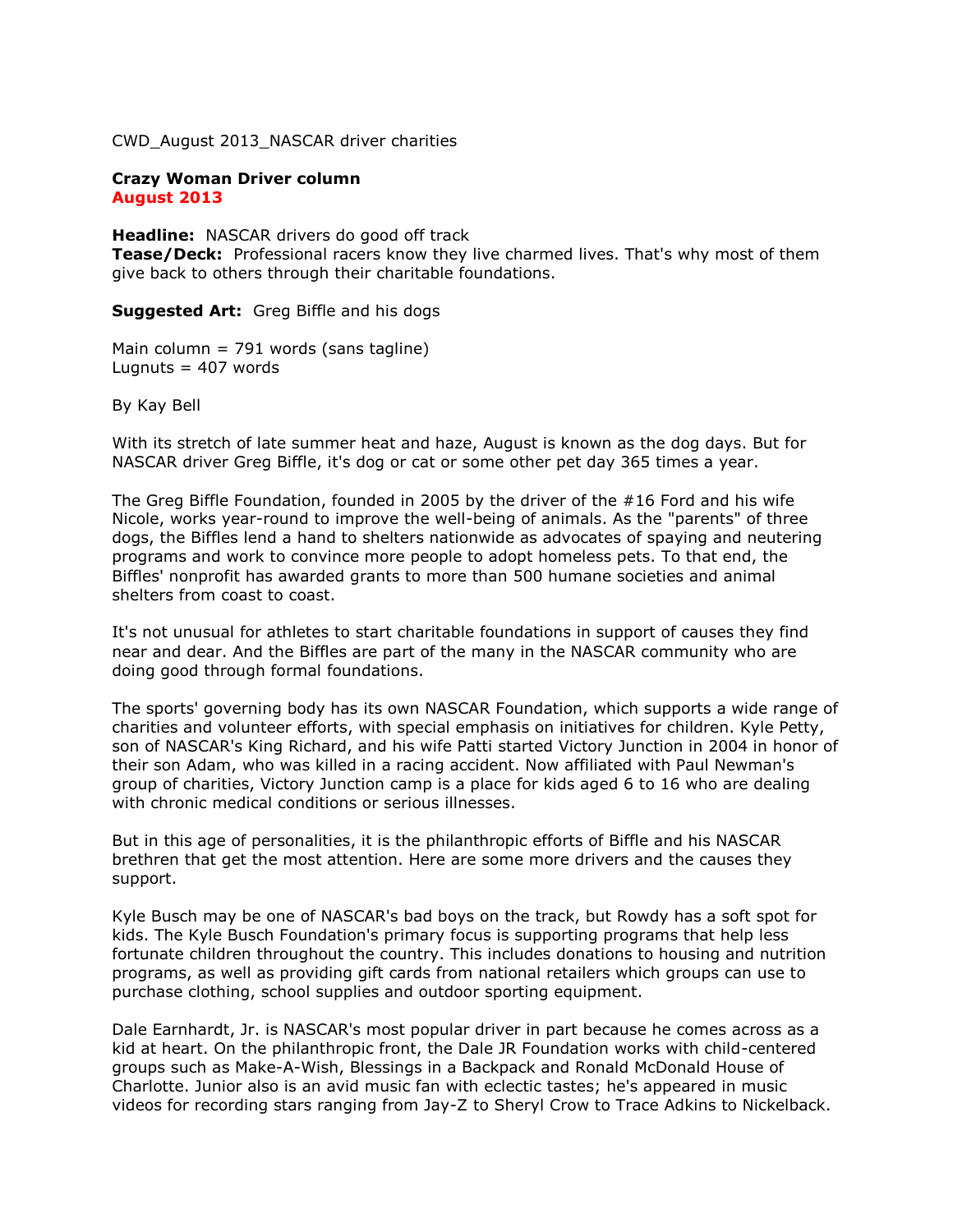CWD\_August 2013\_NASCAR driver charities

## **Crazy Woman Driver column August 2013**

**Headline:** NASCAR drivers do good off track **Tease/Deck:** Professional racers know they live charmed lives. That's why most of them give back to others through their charitable foundations.

**Suggested Art:** Greg Biffle and his dogs

Main column = 791 words (sans tagline) Lugnuts  $= 407$  words

By Kay Bell

With its stretch of late summer heat and haze, August is known as the dog days. But for NASCAR driver Greg Biffle, it's dog or cat or some other pet day 365 times a year.

The Greg Biffle Foundation, founded in 2005 by the driver of the #16 Ford and his wife Nicole, works year-round to improve the well-being of animals. As the "parents" of three dogs, the Biffles lend a hand to shelters nationwide as advocates of spaying and neutering programs and work to convince more people to adopt homeless pets. To that end, the Biffles' nonprofit has awarded grants to more than 500 humane societies and animal shelters from coast to coast.

It's not unusual for athletes to start charitable foundations in support of causes they find near and dear. And the Biffles are part of the many in the NASCAR community who are doing good through formal foundations.

The sports' governing body has its own NASCAR Foundation, which supports a wide range of charities and volunteer efforts, with special emphasis on initiatives for children. Kyle Petty, son of NASCAR's King Richard, and his wife Patti started Victory Junction in 2004 in honor of their son Adam, who was killed in a racing accident. Now affiliated with Paul Newman's group of charities, Victory Junction camp is a place for kids aged 6 to 16 who are dealing with chronic medical conditions or serious illnesses.

But in this age of personalities, it is the philanthropic efforts of Biffle and his NASCAR brethren that get the most attention. Here are some more drivers and the causes they support.

Kyle Busch may be one of NASCAR's bad boys on the track, but Rowdy has a soft spot for kids. The Kyle Busch Foundation's primary focus is supporting programs that help less fortunate children throughout the country. This includes donations to housing and nutrition programs, as well as providing gift cards from national retailers which groups can use to purchase clothing, school supplies and outdoor sporting equipment.

Dale Earnhardt, Jr. is NASCAR's most popular driver in part because he comes across as a kid at heart. On the philanthropic front, the Dale JR Foundation works with child-centered groups such as Make-A-Wish, Blessings in a Backpack and Ronald McDonald House of Charlotte. Junior also is an avid music fan with eclectic tastes; he's appeared in music videos for recording stars ranging from Jay-Z to Sheryl Crow to Trace Adkins to Nickelback.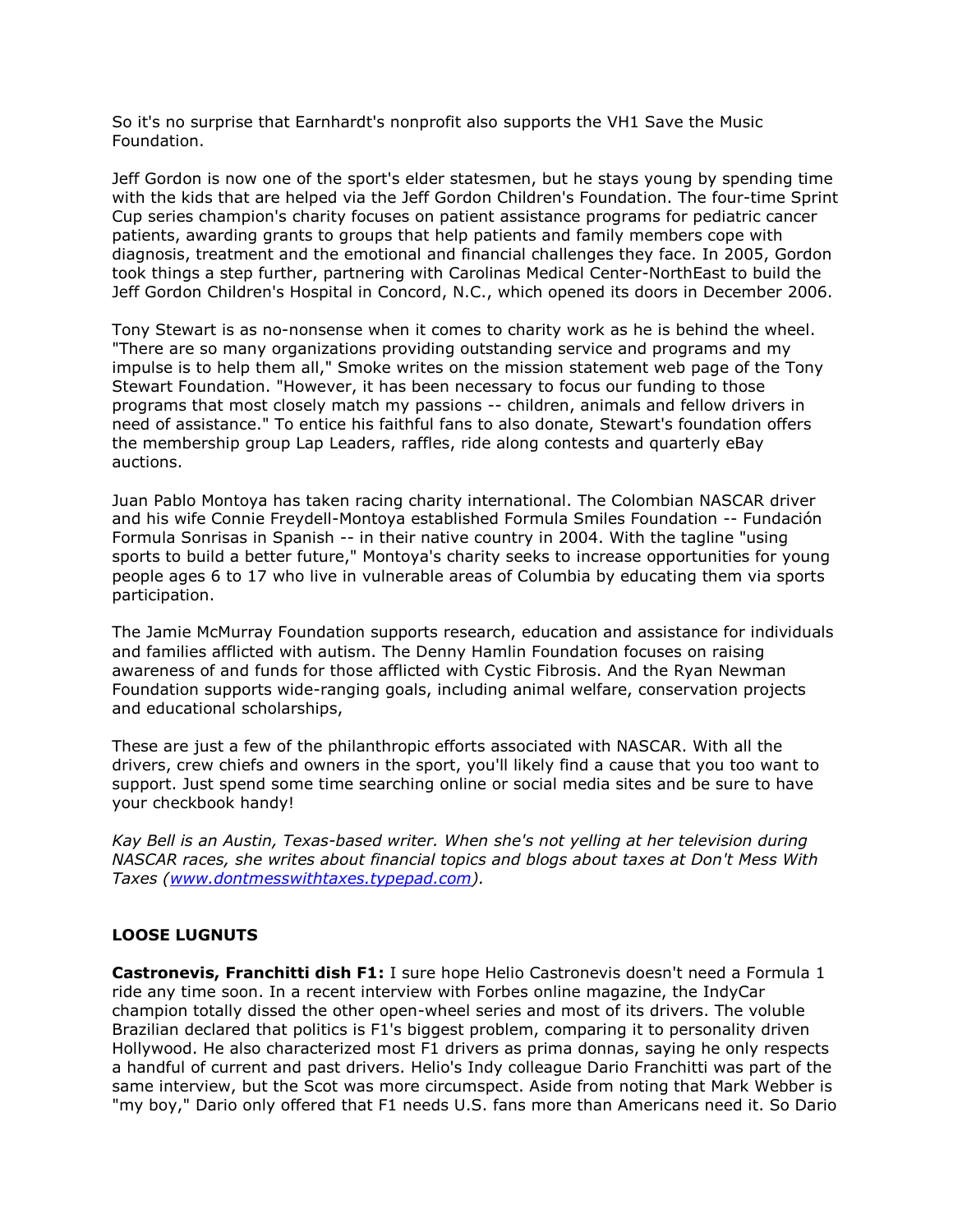So it's no surprise that Earnhardt's nonprofit also supports the VH1 Save the Music Foundation.

Jeff Gordon is now one of the sport's elder statesmen, but he stays young by spending time with the kids that are helped via the Jeff Gordon Children's Foundation. The four-time Sprint Cup series champion's charity focuses on patient assistance programs for pediatric cancer patients, awarding grants to groups that help patients and family members cope with diagnosis, treatment and the emotional and financial challenges they face. In 2005, Gordon took things a step further, partnering with Carolinas Medical Center-NorthEast to build the Jeff Gordon Children's Hospital in Concord, N.C., which opened its doors in December 2006.

Tony Stewart is as no-nonsense when it comes to charity work as he is behind the wheel. "There are so many organizations providing outstanding service and programs and my impulse is to help them all," Smoke writes on the mission statement web page of the Tony Stewart Foundation. "However, it has been necessary to focus our funding to those programs that most closely match my passions -- children, animals and fellow drivers in need of assistance." To entice his faithful fans to also donate, Stewart's foundation offers the membership group Lap Leaders, raffles, ride along contests and quarterly eBay auctions.

Juan Pablo Montoya has taken racing charity international. The Colombian NASCAR driver and his wife Connie Freydell-Montoya established Formula Smiles Foundation -- Fundación Formula Sonrisas in Spanish -- in their native country in 2004. With the tagline "using sports to build a better future," Montoya's charity seeks to increase opportunities for young people ages 6 to 17 who live in vulnerable areas of Columbia by educating them via sports participation.

The Jamie McMurray Foundation supports research, education and assistance for individuals and families afflicted with autism. The Denny Hamlin Foundation focuses on raising awareness of and funds for those afflicted with Cystic Fibrosis. And the Ryan Newman Foundation supports wide-ranging goals, including animal welfare, conservation projects and educational scholarships,

These are just a few of the philanthropic efforts associated with NASCAR. With all the drivers, crew chiefs and owners in the sport, you'll likely find a cause that you too want to support. Just spend some time searching online or social media sites and be sure to have your checkbook handy!

*Kay Bell is an Austin, Texas-based writer. When she's not yelling at her television during NASCAR races, she writes about financial topics and blogs about taxes at Don't Mess With Taxes [\(www.dontmesswithtaxes.typepad.com\)](http://www.dontmesswithtaxes.typepad.com/).*

## **LOOSE LUGNUTS**

**Castronevis, Franchitti dish F1:** I sure hope Helio Castronevis doesn't need a Formula 1 ride any time soon. In a recent interview with Forbes online magazine, the IndyCar champion totally dissed the other open-wheel series and most of its drivers. The voluble Brazilian declared that politics is F1's biggest problem, comparing it to personality driven Hollywood. He also characterized most F1 drivers as prima donnas, saying he only respects a handful of current and past drivers. Helio's Indy colleague Dario Franchitti was part of the same interview, but the Scot was more circumspect. Aside from noting that Mark Webber is "my boy," Dario only offered that F1 needs U.S. fans more than Americans need it. So Dario